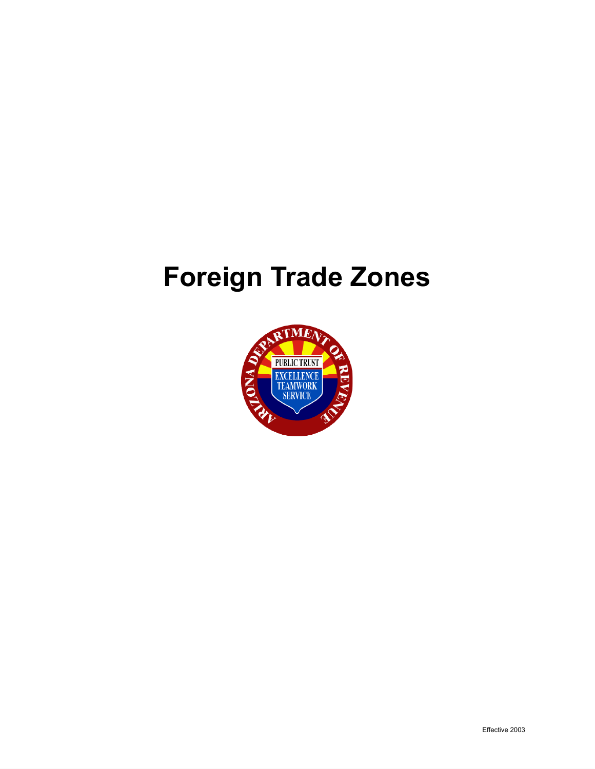# **Foreign Trade Zones**

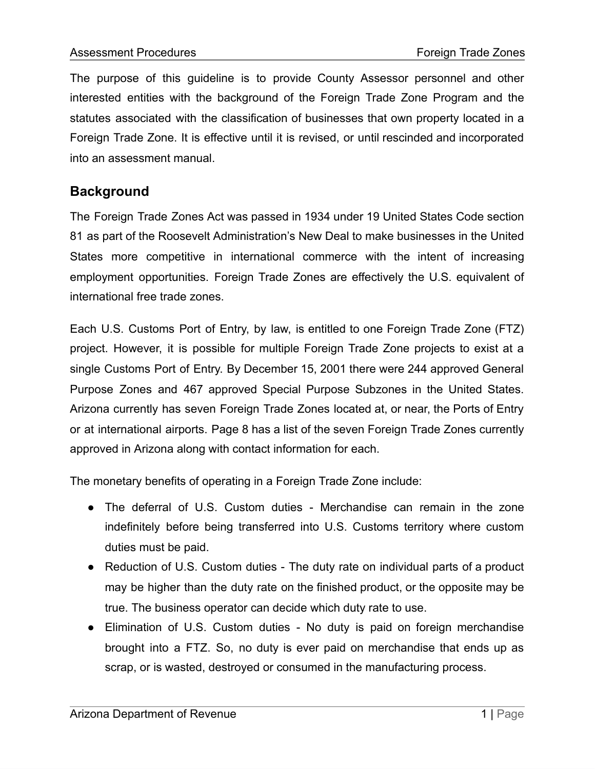The purpose of this guideline is to provide County Assessor personnel and other interested entities with the background of the Foreign Trade Zone Program and the statutes associated with the classification of businesses that own property located in a Foreign Trade Zone. It is effective until it is revised, or until rescinded and incorporated into an assessment manual.

# **Background**

The Foreign Trade Zones Act was passed in 1934 under 19 United States Code section 81 as part of the Roosevelt Administration's New Deal to make businesses in the United States more competitive in international commerce with the intent of increasing employment opportunities. Foreign Trade Zones are effectively the U.S. equivalent of international free trade zones.

Each U.S. Customs Port of Entry, by law, is entitled to one Foreign Trade Zone (FTZ) project. However, it is possible for multiple Foreign Trade Zone projects to exist at a single Customs Port of Entry. By December 15, 2001 there were 244 approved General Purpose Zones and 467 approved Special Purpose Subzones in the United States. Arizona currently has seven Foreign Trade Zones located at, or near, the Ports of Entry or at international airports. Page 8 has a list of the seven Foreign Trade Zones currently approved in Arizona along with contact information for each.

The monetary benefits of operating in a Foreign Trade Zone include:

- The deferral of U.S. Custom duties Merchandise can remain in the zone indefinitely before being transferred into U.S. Customs territory where custom duties must be paid.
- Reduction of U.S. Custom duties The duty rate on individual parts of a product may be higher than the duty rate on the finished product, or the opposite may be true. The business operator can decide which duty rate to use.
- Elimination of U.S. Custom duties No duty is paid on foreign merchandise brought into a FTZ. So, no duty is ever paid on merchandise that ends up as scrap, or is wasted, destroyed or consumed in the manufacturing process.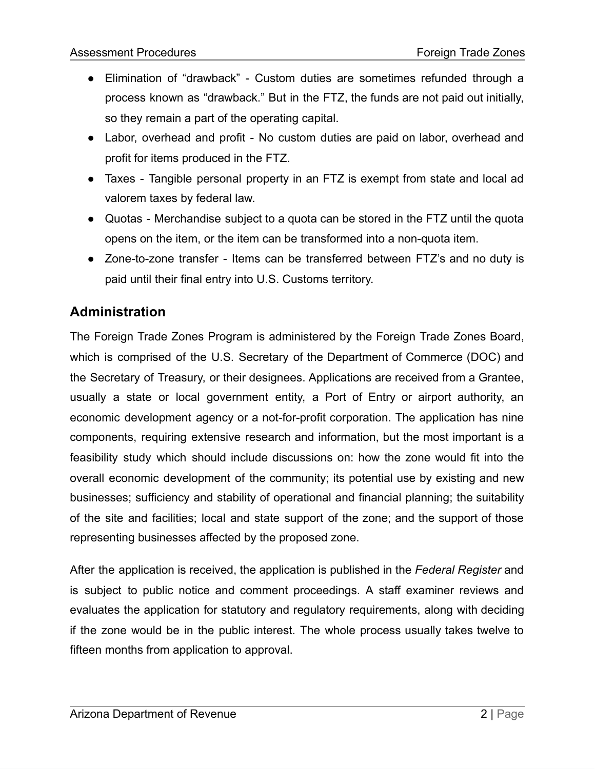- Elimination of "drawback" Custom duties are sometimes refunded through a process known as "drawback." But in the FTZ, the funds are not paid out initially, so they remain a part of the operating capital.
- Labor, overhead and profit No custom duties are paid on labor, overhead and profit for items produced in the FTZ.
- Taxes Tangible personal property in an FTZ is exempt from state and local ad valorem taxes by federal law.
- Quotas Merchandise subject to a quota can be stored in the FTZ until the quota opens on the item, or the item can be transformed into a non-quota item.
- Zone-to-zone transfer Items can be transferred between FTZ's and no duty is paid until their final entry into U.S. Customs territory.

# **Administration**

The Foreign Trade Zones Program is administered by the Foreign Trade Zones Board, which is comprised of the U.S. Secretary of the Department of Commerce (DOC) and the Secretary of Treasury, or their designees. Applications are received from a Grantee, usually a state or local government entity, a Port of Entry or airport authority, an economic development agency or a not-for-profit corporation. The application has nine components, requiring extensive research and information, but the most important is a feasibility study which should include discussions on: how the zone would fit into the overall economic development of the community; its potential use by existing and new businesses; sufficiency and stability of operational and financial planning; the suitability of the site and facilities; local and state support of the zone; and the support of those representing businesses affected by the proposed zone.

After the application is received, the application is published in the *Federal Register* and is subject to public notice and comment proceedings. A staff examiner reviews and evaluates the application for statutory and regulatory requirements, along with deciding if the zone would be in the public interest. The whole process usually takes twelve to fifteen months from application to approval.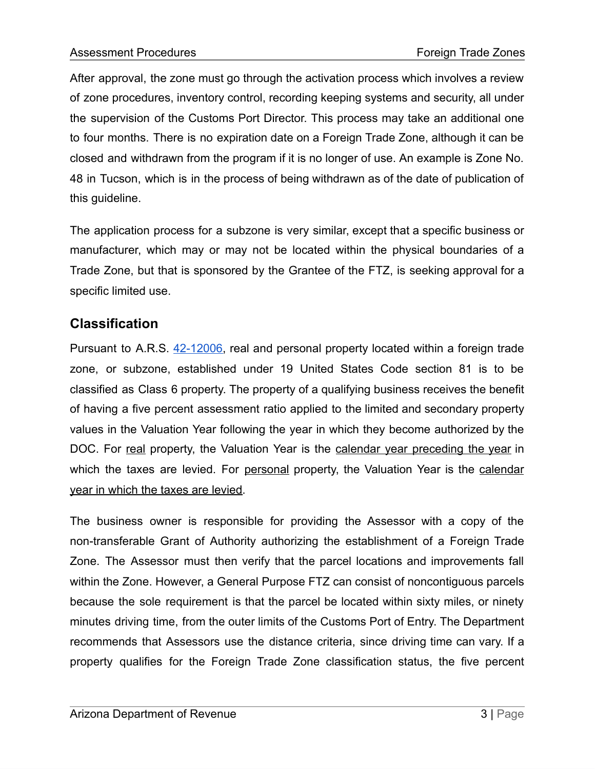After approval, the zone must go through the activation process which involves a review of zone procedures, inventory control, recording keeping systems and security, all under the supervision of the Customs Port Director. This process may take an additional one to four months. There is no expiration date on a Foreign Trade Zone, although it can be closed and withdrawn from the program if it is no longer of use. An example is Zone No. 48 in Tucson, which is in the process of being withdrawn as of the date of publication of this guideline.

The application process for a subzone is very similar, except that a specific business or manufacturer, which may or may not be located within the physical boundaries of a Trade Zone, but that is sponsored by the Grantee of the FTZ, is seeking approval for a specific limited use.

# **Classification**

Pursuant to A.R.S. [42-12006,](https://www.azleg.gov/viewdocument/?docName=https://www.azleg.gov/ars/42/12006.htm) real and personal property located within a foreign trade zone, or subzone, established under 19 United States Code section 81 is to be classified as Class 6 property. The property of a qualifying business receives the benefit of having a five percent assessment ratio applied to the limited and secondary property values in the Valuation Year following the year in which they become authorized by the DOC. For real property, the Valuation Year is the calendar year preceding the year in which the taxes are levied. For personal property, the Valuation Year is the calendar year in which the taxes are levied.

The business owner is responsible for providing the Assessor with a copy of the non-transferable Grant of Authority authorizing the establishment of a Foreign Trade Zone. The Assessor must then verify that the parcel locations and improvements fall within the Zone. However, a General Purpose FTZ can consist of noncontiguous parcels because the sole requirement is that the parcel be located within sixty miles, or ninety minutes driving time, from the outer limits of the Customs Port of Entry. The Department recommends that Assessors use the distance criteria, since driving time can vary. If a property qualifies for the Foreign Trade Zone classification status, the five percent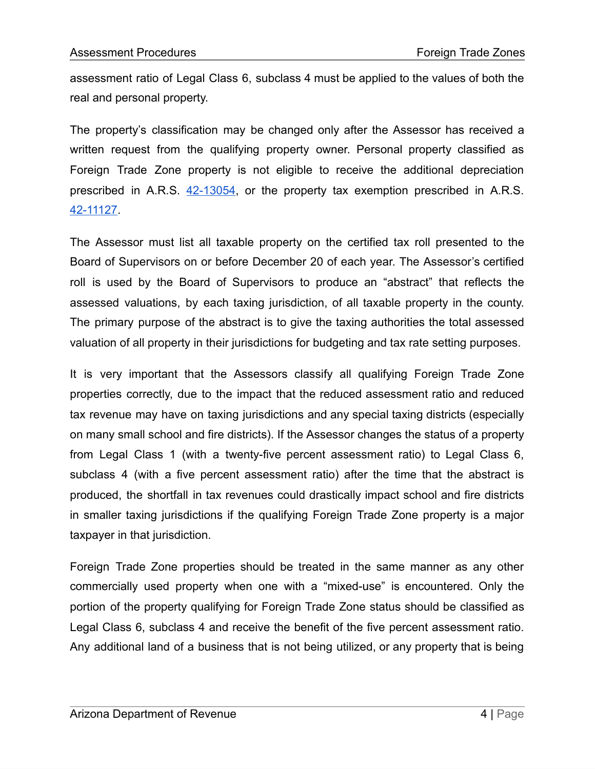assessment ratio of Legal Class 6, subclass 4 must be applied to the values of both the real and personal property.

The property's classification may be changed only after the Assessor has received a written request from the qualifying property owner. Personal property classified as Foreign Trade Zone property is not eligible to receive the additional depreciation prescribed in A.R.S. [42-13054](https://www.azleg.gov/viewdocument/?docName=https://www.azleg.gov/ars/42/13054.htm), or the property tax exemption prescribed in A.R.S. [42-11127.](https://www.azleg.gov/viewdocument/?docName=https://www.azleg.gov/ars/42/11127.htm)

The Assessor must list all taxable property on the certified tax roll presented to the Board of Supervisors on or before December 20 of each year. The Assessor's certified roll is used by the Board of Supervisors to produce an "abstract" that reflects the assessed valuations, by each taxing jurisdiction, of all taxable property in the county. The primary purpose of the abstract is to give the taxing authorities the total assessed valuation of all property in their jurisdictions for budgeting and tax rate setting purposes.

It is very important that the Assessors classify all qualifying Foreign Trade Zone properties correctly, due to the impact that the reduced assessment ratio and reduced tax revenue may have on taxing jurisdictions and any special taxing districts (especially on many small school and fire districts). If the Assessor changes the status of a property from Legal Class 1 (with a twenty-five percent assessment ratio) to Legal Class 6, subclass 4 (with a five percent assessment ratio) after the time that the abstract is produced, the shortfall in tax revenues could drastically impact school and fire districts in smaller taxing jurisdictions if the qualifying Foreign Trade Zone property is a major taxpayer in that jurisdiction.

Foreign Trade Zone properties should be treated in the same manner as any other commercially used property when one with a "mixed-use" is encountered. Only the portion of the property qualifying for Foreign Trade Zone status should be classified as Legal Class 6, subclass 4 and receive the benefit of the five percent assessment ratio. Any additional land of a business that is not being utilized, or any property that is being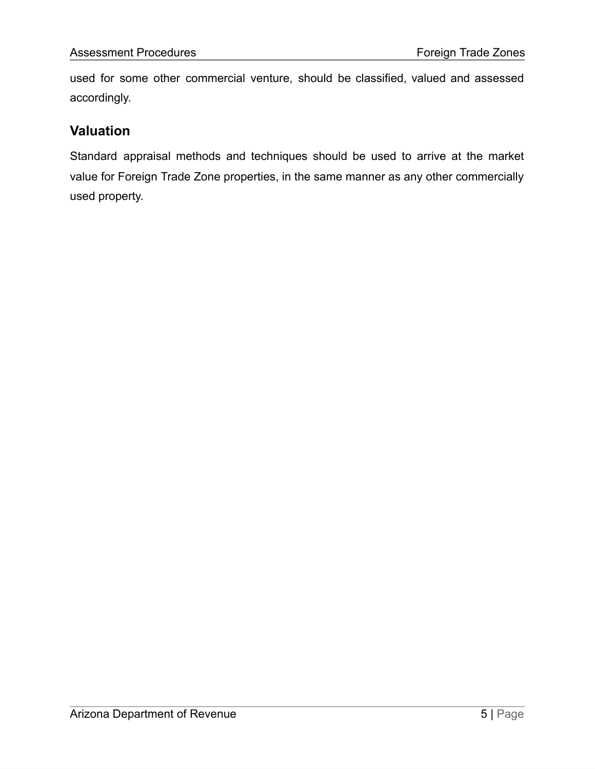used for some other commercial venture, should be classified, valued and assessed accordingly.

# **Valuation**

Standard appraisal methods and techniques should be used to arrive at the market value for Foreign Trade Zone properties, in the same manner as any other commercially used property.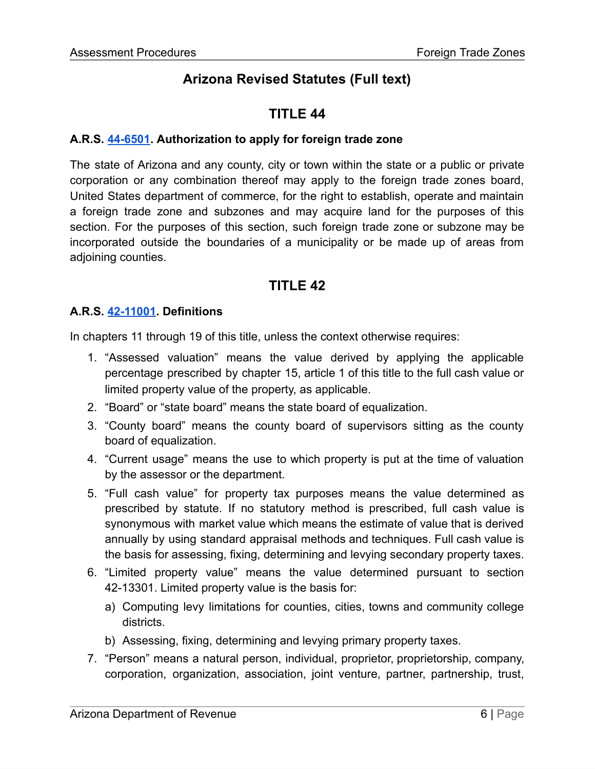# **Arizona Revised Statutes (Full text)**

# **TITLE 44**

### **A.R.S. [44-6501](https://www.azleg.gov/viewdocument/?docName=https://www.azleg.gov/ars/44/06501.htm). Authorization to apply for foreign trade zone**

The state of Arizona and any county, city or town within the state or a public or private corporation or any combination thereof may apply to the foreign trade zones board, United States department of commerce, for the right to establish, operate and maintain a foreign trade zone and subzones and may acquire land for the purposes of this section. For the purposes of this section, such foreign trade zone or subzone may be incorporated outside the boundaries of a municipality or be made up of areas from adjoining counties.

# **TITLE 42**

#### **A.R.S. [42-11001](https://www.azleg.gov/viewdocument/?docName=https://www.azleg.gov/ars/42/11001.htm). Definitions**

In chapters 11 through 19 of this title, unless the context otherwise requires:

- 1. "Assessed valuation" means the value derived by applying the applicable percentage prescribed by chapter 15, article 1 of this title to the full cash value or limited property value of the property, as applicable.
- 2. "Board" or "state board" means the state board of equalization.
- 3. "County board" means the county board of supervisors sitting as the county board of equalization.
- 4. "Current usage" means the use to which property is put at the time of valuation by the assessor or the department.
- 5. "Full cash value" for property tax purposes means the value determined as prescribed by statute. If no statutory method is prescribed, full cash value is synonymous with market value which means the estimate of value that is derived annually by using standard appraisal methods and techniques. Full cash value is the basis for assessing, fixing, determining and levying secondary property taxes.
- 6. "Limited property value" means the value determined pursuant to section 42-13301. Limited property value is the basis for:
	- a) Computing levy limitations for counties, cities, towns and community college districts.
	- b) Assessing, fixing, determining and levying primary property taxes.
- 7. "Person" means a natural person, individual, proprietor, proprietorship, company, corporation, organization, association, joint venture, partner, partnership, trust,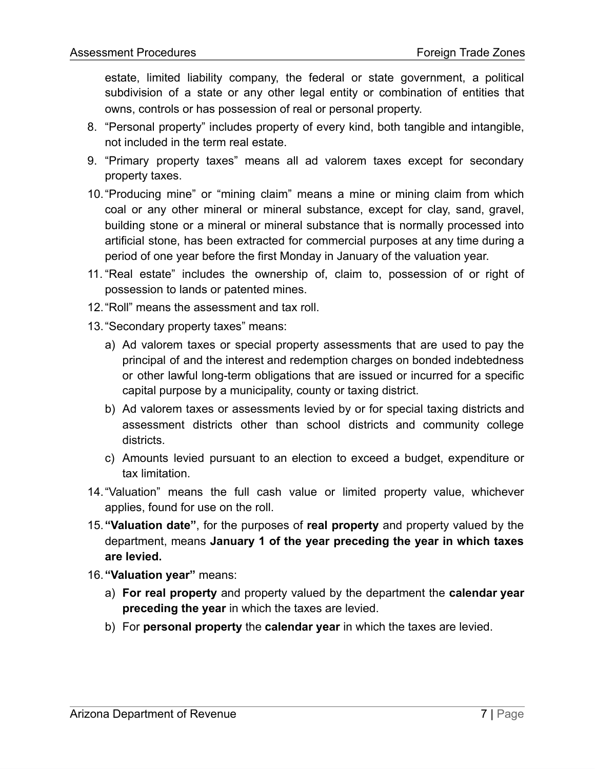estate, limited liability company, the federal or state government, a political subdivision of a state or any other legal entity or combination of entities that owns, controls or has possession of real or personal property.

- 8. "Personal property" includes property of every kind, both tangible and intangible, not included in the term real estate.
- 9. "Primary property taxes" means all ad valorem taxes except for secondary property taxes.
- 10."Producing mine" or "mining claim" means a mine or mining claim from which coal or any other mineral or mineral substance, except for clay, sand, gravel, building stone or a mineral or mineral substance that is normally processed into artificial stone, has been extracted for commercial purposes at any time during a period of one year before the first Monday in January of the valuation year.
- 11. "Real estate" includes the ownership of, claim to, possession of or right of possession to lands or patented mines.
- 12."Roll" means the assessment and tax roll.
- 13."Secondary property taxes" means:
	- a) Ad valorem taxes or special property assessments that are used to pay the principal of and the interest and redemption charges on bonded indebtedness or other lawful long-term obligations that are issued or incurred for a specific capital purpose by a municipality, county or taxing district.
	- b) Ad valorem taxes or assessments levied by or for special taxing districts and assessment districts other than school districts and community college districts.
	- c) Amounts levied pursuant to an election to exceed a budget, expenditure or tax limitation.
- 14."Valuation" means the full cash value or limited property value, whichever applies, found for use on the roll.
- 15.**"Valuation date"**, for the purposes of **real property** and property valued by the department, means **January 1 of the year preceding the year in which taxes are levied.**
- 16.**"Valuation year"** means:
	- a) **For real property** and property valued by the department the **calendar year preceding the year** in which the taxes are levied.
	- b) For **personal property** the **calendar year** in which the taxes are levied.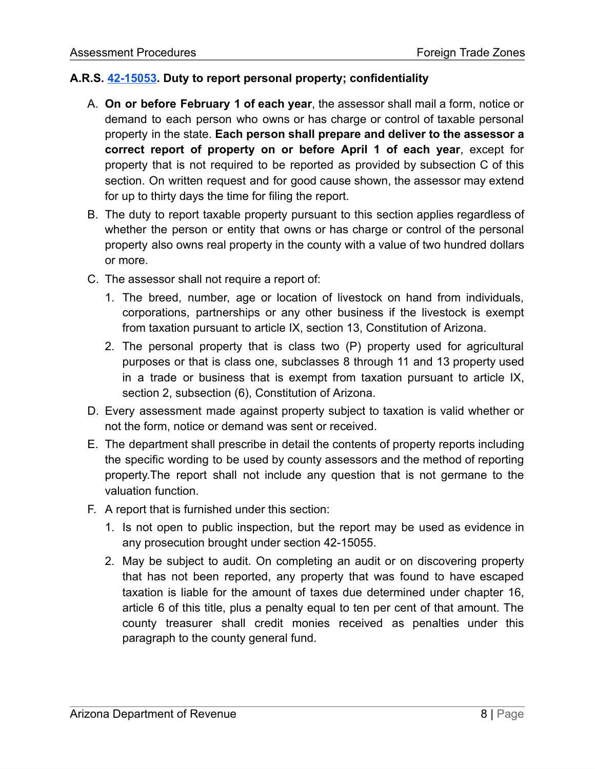## **A.R.S. [42-15053](https://www.azleg.gov/viewdocument/?docName=https://www.azleg.gov/ars/42/15053.htm). Duty to report personal property; confidentiality**

- A. **On or before February 1 of each year**, the assessor shall mail a form, notice or demand to each person who owns or has charge or control of taxable personal property in the state. **Each person shall prepare and deliver to the assessor a correct report of property on or before April 1 of each year**, except for property that is not required to be reported as provided by subsection C of this section. On written request and for good cause shown, the assessor may extend for up to thirty days the time for filing the report.
- B. The duty to report taxable property pursuant to this section applies regardless of whether the person or entity that owns or has charge or control of the personal property also owns real property in the county with a value of two hundred dollars or more.
- C. The assessor shall not require a report of:
	- 1. The breed, number, age or location of livestock on hand from individuals, corporations, partnerships or any other business if the livestock is exempt from taxation pursuant to article IX, section 13, Constitution of Arizona.
	- 2. The personal property that is class two (P) property used for agricultural purposes or that is class one, subclasses 8 through 11 and 13 property used in a trade or business that is exempt from taxation pursuant to article IX, section 2, subsection (6), Constitution of Arizona.
- D. Every assessment made against property subject to taxation is valid whether or not the form, notice or demand was sent or received.
- E. The department shall prescribe in detail the contents of property reports including the specific wording to be used by county assessors and the method of reporting property.The report shall not include any question that is not germane to the valuation function.
- F. A report that is furnished under this section:
	- 1. Is not open to public inspection, but the report may be used as evidence in any prosecution brought under section 42-15055.
	- 2. May be subject to audit. On completing an audit or on discovering property that has not been reported, any property that was found to have escaped taxation is liable for the amount of taxes due determined under chapter 16, article 6 of this title, plus a penalty equal to ten per cent of that amount. The county treasurer shall credit monies received as penalties under this paragraph to the county general fund.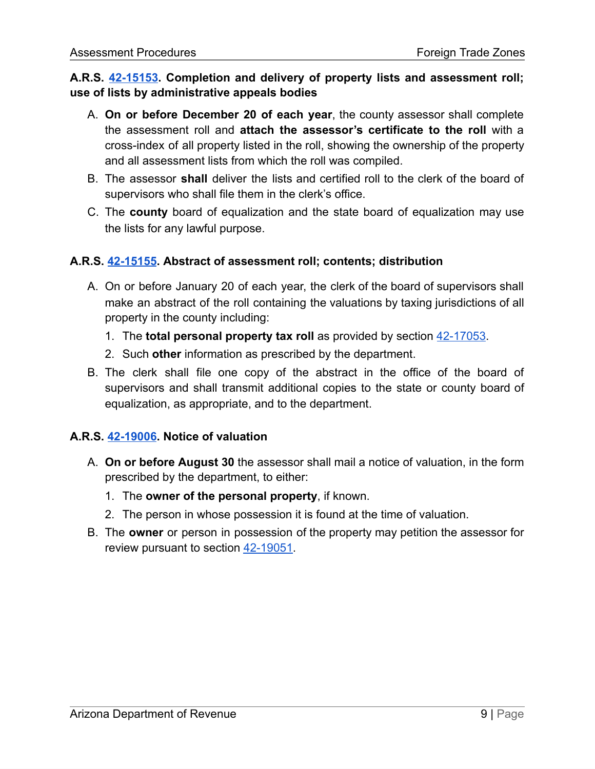## **A.R.S. [42-15153.](https://www.azleg.gov/viewdocument/?docName=https://www.azleg.gov/ars/42/15153.htm) Completion and delivery of property lists and assessment roll; use of lists by administrative appeals bodies**

- A. **On or before December 20 of each year**, the county assessor shall complete the assessment roll and **attach the assessor's certificate to the roll** with a cross-index of all property listed in the roll, showing the ownership of the property and all assessment lists from which the roll was compiled.
- B. The assessor **shall** deliver the lists and certified roll to the clerk of the board of supervisors who shall file them in the clerk's office.
- C. The **county** board of equalization and the state board of equalization may use the lists for any lawful purpose.

## **A.R.S. [42-15155](https://www.azleg.gov/viewdocument/?docName=https%3A%2F%2Fwww.azleg.gov%2Fars%2F42%2F15155.htm). Abstract of assessment roll; contents; distribution**

- A. On or before January 20 of each year, the clerk of the board of supervisors shall make an abstract of the roll containing the valuations by taxing jurisdictions of all property in the county including:
	- 1. The **total personal property tax roll** as provided by section [42-17053](https://www.azleg.gov/viewdocument/?docName=https%3A%2F%2Fwww.azleg.gov%2Fars%2F42%2F17053.htm).
	- 2. Such **other** information as prescribed by the department.
- B. The clerk shall file one copy of the abstract in the office of the board of supervisors and shall transmit additional copies to the state or county board of equalization, as appropriate, and to the department.

## **A.R.S. [42-19006](https://www.azleg.gov/viewdocument/?docName=https%3A%2F%2Fwww.azleg.gov%2Fars%2F42%2F19006.htm). Notice of valuation**

- A. **On or before August 30** the assessor shall mail a notice of valuation, in the form prescribed by the department, to either:
	- 1. The **owner of the personal property**, if known.
	- 2. The person in whose possession it is found at the time of valuation.
- B. The **owner** or person in possession of the property may petition the assessor for review pursuant to section [42-19051.](https://www.azleg.gov/viewdocument/?docName=https%3A%2F%2Fwww.azleg.gov%2Fars%2F42%2F19051.htm)